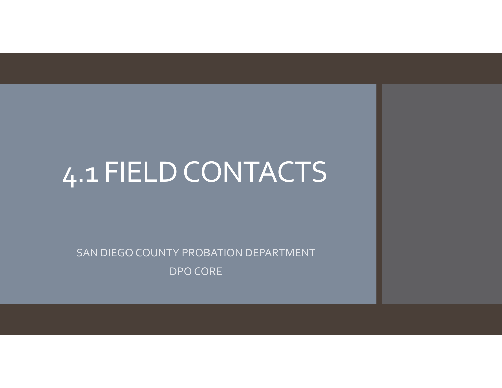# 4.1 FIELDCONTACTS

SAN DIEGO COUNTY PROBATION DEPARTMENT DPO CORE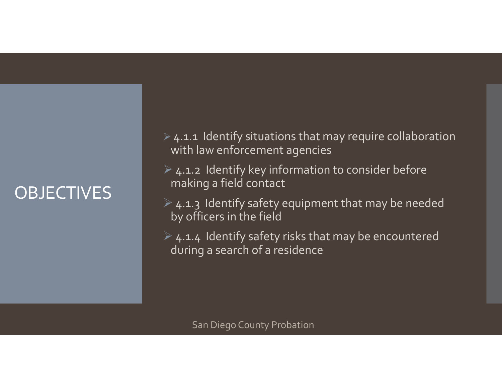# OBJECTIVES

 $\triangleright$  4.1.1 Identify situations that may require collaboration with law enforcement agencies

 $\triangleright$  4.1.2 Identify key information to consider before making <sup>a</sup> field contact

 $\geq 4.1.3$  Identify safety equipment that may be needed by officers in the field

 $\triangleright$  4.1.4 Identify safety risks that may be encountered during <sup>a</sup> search of <sup>a</sup> residence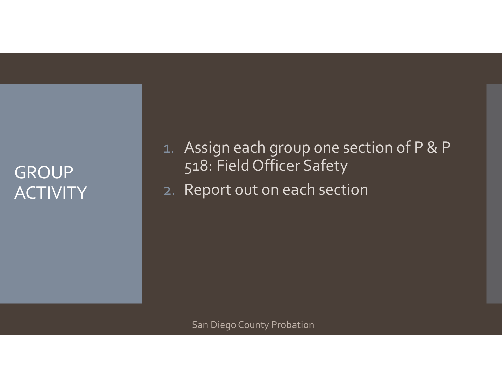#### GROUP ACTIVITY

1. Assign each group one section of <sup>P</sup> & <sup>P</sup> 518: Field Officer Safety

2. Report out on each section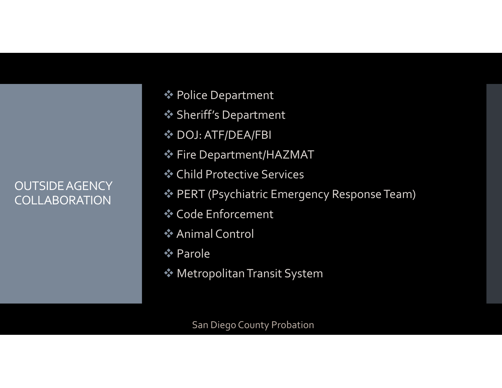#### OUTSIDEAGENCY COLLABORATION

- Police Department
- Sheriff's Department
- **❖ DOJ: ATF/DEA/FBI**
- Fire Department/HAZMAT
- Child Protective Services
- PERT (Psychiatric Emergency Response Team)
- Code Enforcement
- Animal Control
- **☆ Parole**
- MetropolitanTransit System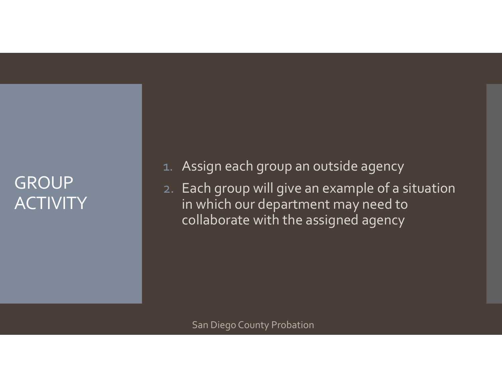### GROUP **ACTIVITY**

1.Assign each group an outside agency

2. Each group will give an example of <sup>a</sup> situation in which our department may need to collaborate with the assigned agency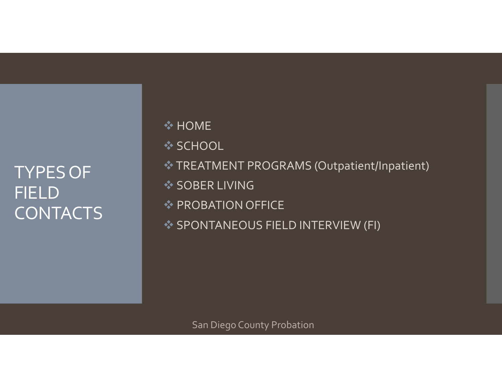# TYPESOF FIELD CONTACTS

**☆ HOME ❖ SCHOOL** TREATMENT PROGRAMS (Outpatient/Inpatient) **❖ SOBER LIVING PROBATION OFFICE** SPONTANEOUS FIELD INTERVIEW (FI)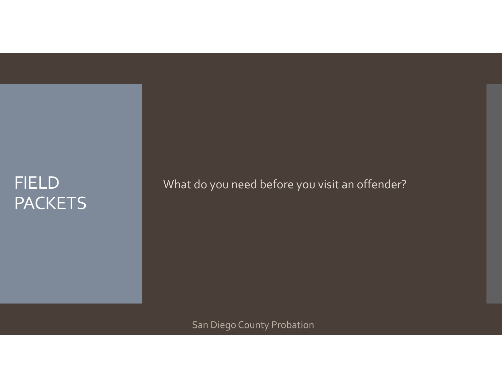#### FIELD PACKETS

What do you need before you visit an offender?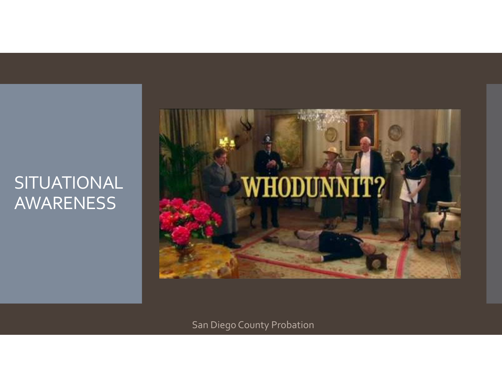#### SITUATIONAL AWARENESS

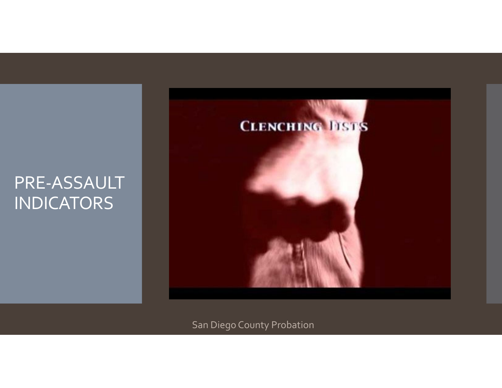#### PRE‐ASSAULT INDICATORS

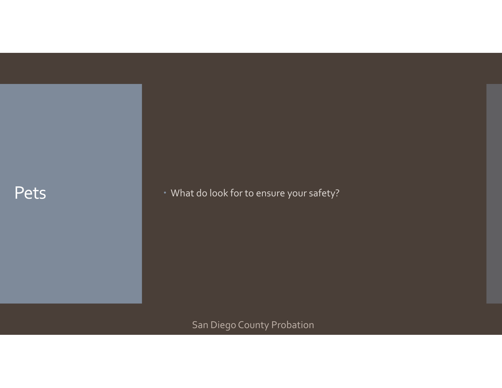#### Pets

What do look for to ensure your safety?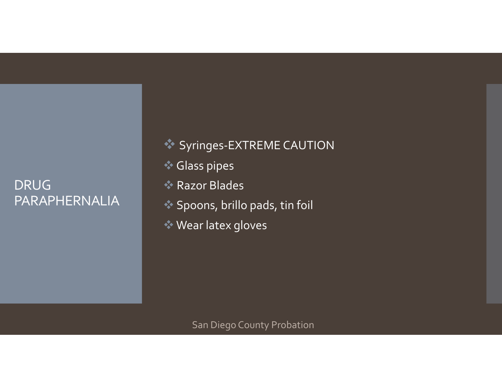#### DRUG PARAPHERNALIA

◆ Syringes-EXTREME CAUTION **Glass pipes ◆ Razor Blades**  Spoons, brillo pads, tin foil Wear latex gloves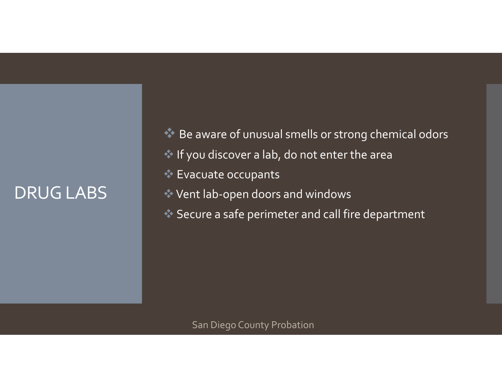#### DRUGLABS

 $\triangle$  Be aware of unusual smells or strong chemical odors If you discover <sup>a</sup> lab, do not enter the area Evacuate occupants Vent lab‐open doors and windows Secure <sup>a</sup> safe perimeter and call fire department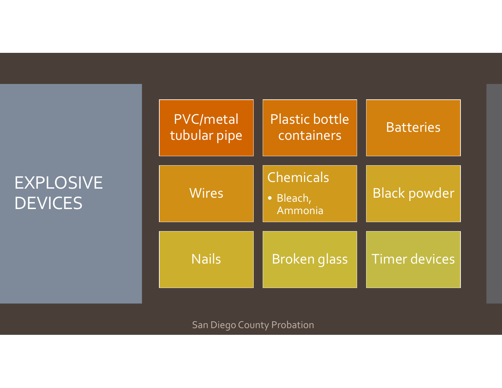### EXPLOSIVE DEVICES